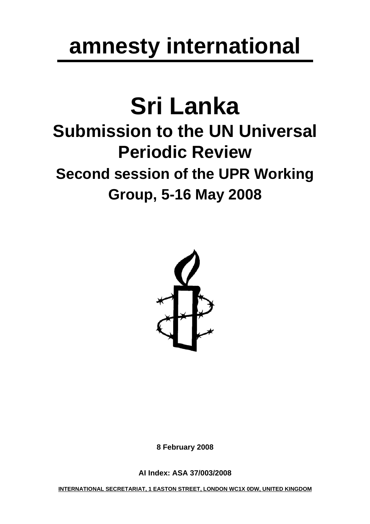# **amnesty international**

## **Sri Lanka Submission to the UN Universal Periodic Review Second session of the UPR Working Group, 5-16 May 2008**



**8 February 2008** 

**AI Index: ASA 37/003/2008** 

**INTERNATIONAL SECRETARIAT, 1 EASTON STREET, LONDON WC1X 0DW, UNITED KINGDOM**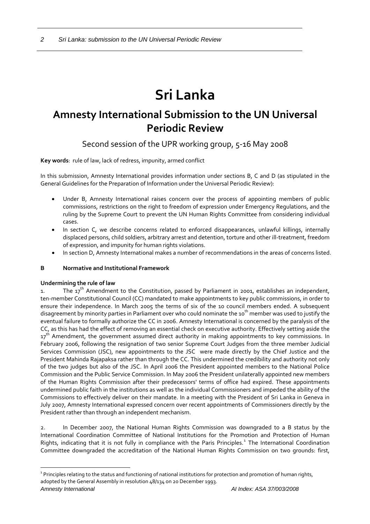### **Sri Lanka**

### **Amnesty International Submission to the UN Universal Periodic Review**

Second session of the UPR working group, 5-16 May 2008

**Key words**: rule of law, lack of redress, impunity, armed conflict

In this submission, Amnesty International provides information under sections B, C and D (as stipulated in the General Guidelines for the Preparation of Information under the Universal Periodic Review):

- Under B, Amnesty International raises concern over the process of appointing members of public commissions, restrictions on the right to freedom of expression under Emergency Regulations, and the ruling by the Supreme Court to prevent the UN Human Rights Committee from considering individual cases.
- In section C, we describe concerns related to enforced disappearances, unlawful killings, internally displaced persons, child soldiers, arbitrary arrest and detention, torture and other ill‐treatment, freedom of expression, and impunity for human rights violations.
- In section D, Amnesty International makes a number of recommendations in the areas of concerns listed.

#### **B Normative and Institutional Framework**

#### **Undermining the rule of law**

 $\overline{a}$ 

1. The 17<sup>th</sup> Amendment to the Constitution, passed by Parliament in 2001, establishes an independent, ten‐member Constitutional Council (CC) mandated to make appointments to key public commissions, in order to ensure their independence. In March 2005 the terms of six of the 10 council members ended. A subsequent disagreement by minority parties in Parliament over who could nominate the 10 $^{\rm th}$  member was used to justify the eventual failure to formally authorize the CC in 2006. Amnesty International is concerned by the paralysis of the CC, as this has had the effect of removing an essential check on executive authority. Effectively setting aside the 17<sup>th</sup> Amendment, the government assumed direct authority in making appointments to key commissions. In February 2006, following the resignation of two senior Supreme Court Judges from the three member Judicial Services Commission (JSC), new appointments to the JSC were made directly by the Chief Justice and the President Mahinda Rajapaksa rather than through the CC. This undermined the credibility and authority not only of the two judges but also of the JSC. In April 2006 the President appointed members to the National Police Commission and the Public Service Commission. In May 2006 the President unilaterally appointed new members of the Human Rights Commission after their predecessors' terms of office had expired. These appointments undermined public faith in the institutions as well as the individual Commissioners and impeded the ability of the Commissions to effectively deliver on their mandate. In a meeting with the President of Sri Lanka in Geneva in July 2007, Amnesty International expressed concern over recent appointments of Commissioners directly by the President rather than through an independent mechanism.

2. In December 2007, the National Human Rights Commission was downgraded to a B status by the International Coordination Committee of National Institutions for the Promotion and Protection of Human Rights, indicating that it is not fully in compliance with the Paris Principles.<sup>[1](#page-1-0)</sup> The International Coordination Committee downgraded the accreditation of the National Human Rights Commission on two grounds: first,

<span id="page-1-0"></span>*Amnesty International AI Index: ASA 37/003/2008*   $1$  Principles relating to the status and functioning of national institutions for protection and promotion of human rights, adopted by the General Assembly in resolution 48/134 on 20 December 1993.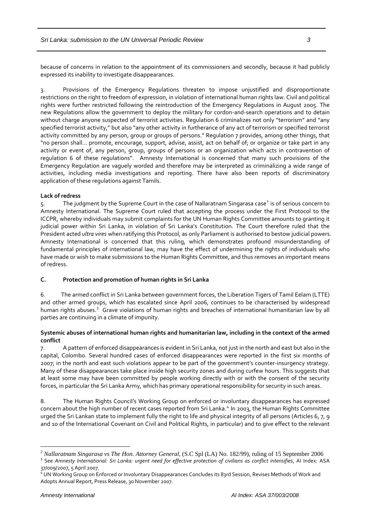because of concerns in relation to the appointment of its commissioners and secondly, because it had publicly expressed its inability to investigate disappearances.

3. Provisions of the Emergency Regulations threaten to impose unjustified and disproportionate restrictions on the right to freedom of expression, in violation of international human rights law. Civil and political rights were further restricted following the reintroduction of the Emergency Regulations in August 2005. The new Regulations allow the government to deploy the military for cordon‐and‐search operations and to detain without charge anyone suspected of terrorist activities. Regulation 6 criminalizes not only "terrorism" and "any specified terrorist activity," but also "any other activity in furtherance of any act of terrorism or specified terrorist activity committed by any person, group or groups of persons." Regulation 7 provides, among other things, that "no person shall… promote, encourage, support, advise, assist, act on behalf of; or organize or take part in any activity or event of, any person, group, groups of persons or an organization which acts in contravention of regulation 6 of these regulations". Amnesty International is concerned that many such provisions of the Emergency Regulation are vaguely worded and therefore may be interpreted as criminalizing a wide range of activities, including media investigations and reporting. There have also been reports of discriminatory application of these regulations against Tamils.

#### **Lack of redress**

5. The judgment by the Supreme Court in the case of Nallaratnam Singarasa case<sup>[2](#page-2-0)</sup> is of serious concern to Amnesty International. The Supreme Court ruled that accepting the process under the First Protocol to the ICCPR, whereby individuals may submit complaints for the UN Human Rights Committee amounts to granting it judicial power within Sri Lanka, in violation of Sri Lanka's Constitution. The Court therefore ruled that the President acted *ultra vires* when ratifying this Protocol, as only Parliament is authorised to bestow judicial powers. Amnesty International is concerned that this ruling, which demonstrates profound misunderstanding of fundamental principles of international law, may have the effect of undermining the rights of individuals who have made or wish to make submissions to the Human Rights Committee, and thus removes an important means of redress.

#### **C. Protection and promotion of human rights in Sri Lanka**

6. The armed conflict in Sri Lanka between government forces, the Liberation Tigers of Tamil Eelam (LTTE) and other armed groups, which has escalated since April 2006, continues to be characterised by widespread human rights abuses.<sup>[3](#page-2-1)</sup> Grave violations of human rights and breaches of international humanitarian law by all parties are continuing in a climate of impunity.

#### **Systemic abuses of international human rights and humanitarian law, including in the context of the armed conflict**

A pattern of enforced disappearances is evident in Sri Lanka, not just in the north and east but also in the capital, Colombo. Several hundred cases of enforced disappearances were reported in the first six months of 2007; in the north and east such violations appear to be part of the government's counter‐insurgency strategy. Many of these disappearances take place inside high security zones and during curfew hours. This suggests that at least some may have been committed by people working directly with or with the consent of the security forces, in particular the Sri Lanka Army, which has primary operational responsibility for security in such areas.

8. The Human Rights Council's Working Group on enforced or involuntary disappearances has expressed concern about the high number of recent cases reported from Sri Lanka.<sup>[4](#page-2-2)</sup> In 2003, the Human Rights Committee urged the Sri Lankan state to implement fully the right to life and physical integrity of all persons (Articles 6, 7, 9 and 10 of the International Covenant on Civil and Political Rights, in particular) and to give effect to the relevant

 $\overline{a}$ 

<span id="page-2-0"></span><sup>2</sup> *Nallaratnam Singarasa vs The Hon. Attorney General*, (S.C Spl (LA) No. 182/99), ruling of 15 September 2006 <sup>3</sup> See Amnesty International: Sri Lanka: urgent need for effective protection of civilians as conflict intensifies, AI Index: ASA

<span id="page-2-2"></span><span id="page-2-1"></span><sup>37/009/2007, 5</sup> April 2007.<br><sup>4</sup> UN Working Group on Enforced or Involuntary Disappearances Concludes its 83rd Session, Revises Methods of Work and Adopts Annual Report, Press Release, 30 November 2007.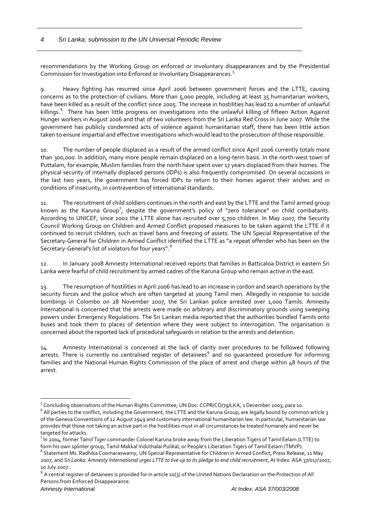#### *4 Sri Lanka: submission to the UN Universal Periodic Review*

recommendations by the Working Group on enforced or involuntary disappearances and by the Presidential Commission for Investigation into Enforced or Involuntary Disappearances.<sup>[5](#page-3-0)</sup>

9. Heavy fighting has resumed since April 2006 between government forces and the LTTE, causing concerns as to the protection of civilians. More than 5,000 people, including at least 35 humanitarian workers, have been killed as a result of the conflict since 2005. The increase in hostilities has lead to a number of unlawful killings.<sup>[6](#page-3-1)</sup> There has been little progress on investigations into the unlawful killing of fifteen Action Against Hunger workers in August 2006 and that of two volunteers from the Sri Lanka Red Cross in June 2007. While the government has publicly condemned acts of violence against humanitarian staff, there has been little action taken to ensure impartial and effective investigations which would lead to the prosecution of those responsible.

10. The number of people displaced as a result of the armed conflict since April 2006 currently totals more than 300,000. In addition, many more people remain displaced on a long‐term basis. In the north‐west town of Puttalam, for example, Muslim families from the north have spent over 17 years displaced from their homes. The physical security of internally displaced persons (IDPs) is also frequently compromised. On several occasions in the last two years, the government has forced IDPs to return to their homes against their wishes and in conditions of insecurity, in contravention of international standards.

11. The recruitment of child soldiers continues in the north and east by the LTTE and the Tamil armed group known as the Karuna Group<sup>[7](#page-3-2)</sup>, despite the government's policy of "zero tolerance" on child combatants. According to UNICEF, since 2002 the LTTE alone has recruited over 5,700 children. In May 2007, the Security Council Working Group on Children and Armed Conflict proposed measures to be taken against the LTTE if it continued to recruit children, such as travel bans and freezing of assets. The UN Special Representative of the Secretary‐General for Children in Armed Conflict identified the LTTE as "a repeat offender who has been on the Secretary-General's list of violators for four years".<sup>[8](#page-3-3)</sup>

12. In January 2008 Amnesty International received reports that families in Batticaloa District in eastern Sri Lanka were fearful of child recruitment by armed cadres of the Karuna Group who remain active in the east.

13. The resumption of hostilities in April 2006 has lead to an increase in cordon and search operations by the security forces and the police which are often targeted at young Tamil men. Allegedly in response to suicide bombings in Colombo on 28 November 2007, the Sri Lankan police arrested over 1,000 Tamils. Amnesty International is concerned that the arrests were made on arbitrary and discriminatory grounds using sweeping powers under Emergency Regulations. The Sri Lankan media reported that the authorities bundled Tamils onto buses and took them to places of detention where they were subject to interrogation. The organisation is concerned about the reported lack of procedural safeguards in relation to the arrests and detention.

14. Amnesty International is concerned at the lack of clarity over procedures to be followed following arrests. There is currently no centralised register of detainees<sup>[9](#page-3-4)</sup> and no guaranteed procedure for informing families and the National Human Rights Commission of the place of arrest and charge within 48 hours of the arrest.

 $\overline{a}$ 

<span id="page-3-0"></span><sup>&</sup>lt;sup>5</sup> Concluding observations of the Human Rights Committee, UN Doc. CCPR/CO/79/LKA, 1 December 2003, para 10.<br><sup>6</sup> All parties to the conflict, including the Government, the LTTE and the Karuna Group, are legally bound by co

<span id="page-3-1"></span>of the Geneva Conventions of 12 August 1949 and customary international humanitarian law. In particular, humanitarian law provides that those not taking an active part in the hostilities must in all circumstances be treated humanely and never be targeted for attacks.

<span id="page-3-2"></span>In 2004, former Tamil Tiger commander Colonel Karuna broke away from the Liberation Tigers of Tamil Eelam (LTTE) to form his own splinter group, Tamil Makkal Viduthalai Pulikal, or People's Liberation Tigers of Tamil Eelam (TMVP).<br><sup>8</sup> Statement Ms. Radhika Coomaraswamy, UN Special Representative for Children in Armed Conflict, Press Rel

<span id="page-3-3"></span><sup>2007,</sup> and Sri Lanka: Amnesty International urges LTTE to live up to its pledge to end child recruitment, AI Index: ASA 37/017/2007,

<span id="page-3-4"></span><sup>10</sup> July 2007.<br><sup>9</sup> A central register of detainees is provided for in article 10(3) of the United Nations Declaration on the Protection of All Persons from Enforced Disappearance.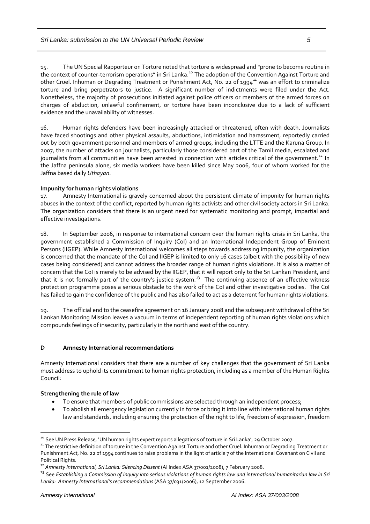15. The UN Special Rapporteur on Torture noted that torture is widespread and "prone to become routine in the context of counter-terrorism operations" in Sri Lanka.<sup>[10](#page-4-0)</sup> The adoption of the Convention Against Torture and other Cruel. Inhuman or Degrading Treatment or Punishment Act, No. 22 of 1994<sup>[11](#page-4-1)</sup> was an effort to criminalize torture and bring perpetrators to justice. A significant number of indictments were filed under the Act. Nonetheless, the majority of prosecutions initiated against police officers or members of the armed forces on charges of abduction, unlawful confinement, or torture have been inconclusive due to a lack of sufficient evidence and the unavailability of witnesses.

16. Human rights defenders have been increasingly attacked or threatened, often with death. Journalists have faced shootings and other physical assaults, abductions, intimidation and harassment, reportedly carried out by both government personnel and members of armed groups, including the LTTE and the Karuna Group. In 2007, the number of attacks on journalists, particularly those considered part of the Tamil media, escalated and journalists from all communities have been arrested in connection with articles critical of the government.<sup>[12](#page-4-2)</sup> In the Jaffna peninsula alone, six media workers have been killed since May 2006, four of whom worked for the Jaffna based daily *Uthayan*.

#### **Impunity for human rights violations**

17. Amnesty International is gravely concerned about the persistent climate of impunity for human rights abuses in the context of the conflict, reported by human rights activists and other civil society actors in Sri Lanka. The organization considers that there is an urgent need for systematic monitoring and prompt, impartial and effective investigations.

18. In September 2006, in response to international concern over the human rights crisis in Sri Lanka, the government established a Commission of Inquiry (CoI) and an International Independent Group of Eminent Persons (IIGEP). While Amnesty International welcomes all steps towards addressing impunity, the organization is concerned that the mandate of the CoI and IIGEP is limited to only 16 cases (albeit with the possibility of new cases being considered) and cannot address the broader range of human rights violations. It is also a matter of concern that the CoI is merely to be advised by the IIGEP, that it will report only to the Sri Lankan President, and that it is not formally part of the country's justice system.<sup>[13](#page-4-3)</sup> The continuing absence of an effective witness protection programme poses a serious obstacle to the work of the CoI and other investigative bodies. The CoI has failed to gain the confidence of the public and has also failed to act as a deterrent for human rights violations.

19. The official end to the ceasefire agreement on 16 January 2008 and the subsequent withdrawal of the Sri Lankan Monitoring Mission leaves a vacuum in terms of independent reporting of human rights violations which compounds feelings of insecurity, particularly in the north and east of the country.

#### **D Amnesty International recommendations**

Amnesty International considers that there are a number of key challenges that the government of Sri Lanka must address to uphold its commitment to human rights protection, including as a member of the Human Rights Council:

#### **Strengthening the rule of law**

- To ensure that members of public commissions are selected through an independent process;
- To abolish all emergency legislation currently in force or bring it into line with international human rights law and standards, including ensuring the protection of the right to life, freedom of expression, freedom

 $\overline{a}$ 

<span id="page-4-0"></span><sup>&</sup>lt;sup>10</sup> See UN Press Release, 'UN human rights expert reports allegations of torture in Sri Lanka', 29 October 2007.<br><sup>11</sup> The restrictive definition of torture in the Convention Against Torture and other Cruel. Inhuman or Deg

<span id="page-4-1"></span>Punishment Act, No. 22 of 1994 continues to raise problems in the light of article 7 of the International Covenant on Civil and

<span id="page-4-3"></span>

<span id="page-4-2"></span>Political Rights.<br><sup>12</sup> Amnesty International, Sri Lanka: Silencing Dissent (AI Index ASA 37/001/2008), 7 February 2008.<br><sup>13</sup> See Establishing a Commission of Inquiry into serious violations of human rights law and internat *Lanka: Amnesty International's recommendations* (ASA 37/031/2006), 12 September 2006.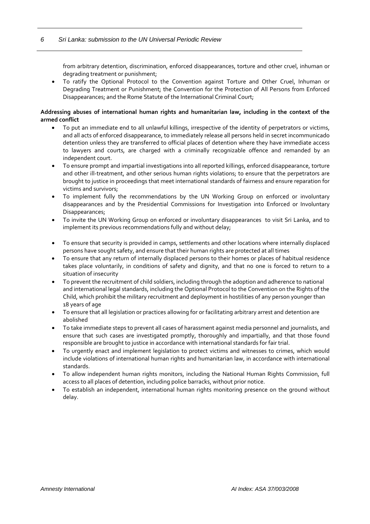from arbitrary detention, discrimination, enforced disappearances, torture and other cruel, inhuman or degrading treatment or punishment;

• To ratify the Optional Protocol to the Convention against Torture and Other Cruel, Inhuman or Degrading Treatment or Punishment; the Convention for the Protection of All Persons from Enforced Disappearances; and the Rome Statute of the International Criminal Court;

#### **Addressing abuses of international human rights and humanitarian law, including in the context of the armed conflict**

- To put an immediate end to all unlawful killings, irrespective of the identity of perpetrators or victims, and all acts of enforced disappearance, to immediately release all persons held in secret incommunicado detention unless they are transferred to official places of detention where they have immediate access to lawyers and courts, are charged with a criminally recognizable offence and remanded by an independent court.
- To ensure prompt and impartial investigations into all reported killings, enforced disappearance, torture and other ill-treatment, and other serious human rights violations; to ensure that the perpetrators are brought to justice in proceedings that meet international standards of fairness and ensure reparation for victims and survivors;
- To implement fully the recommendations by the UN Working Group on enforced or involuntary disappearances and by the Presidential Commissions for Investigation into Enforced or Involuntary Disappearances;
- To invite the UN Working Group on enforced or involuntary disappearances to visit Sri Lanka, and to implement its previous recommendations fully and without delay;
- To ensure that security is provided in camps, settlements and other locations where internally displaced persons have sought safety, and ensure that their human rights are protected at all times
- To ensure that any return of internally displaced persons to their homes or places of habitual residence takes place voluntarily, in conditions of safety and dignity, and that no one is forced to return to a situation of insecurity
- To prevent the recruitment of child soldiers, including through the adoption and adherence to national and international legal standards, including the Optional Protocol to the Convention on the Rights of the Child, which prohibit the military recruitment and deployment in hostilities of any person younger than 18 years of age
- To ensure that all legislation or practices allowing for or facilitating arbitrary arrest and detention are abolished
- To take immediate steps to prevent all cases of harassment against media personnel and journalists, and ensure that such cases are investigated promptly, thoroughly and impartially, and that those found responsible are brought to justice in accordance with international standards for fair trial.
- To urgently enact and implement legislation to protect victims and witnesses to crimes, which would include violations of international human rights and humanitarian law, in accordance with international standards.
- To allow independent human rights monitors, including the National Human Rights Commission, full access to all places of detention, including police barracks, without prior notice.
- To establish an independent, international human rights monitoring presence on the ground without delay.